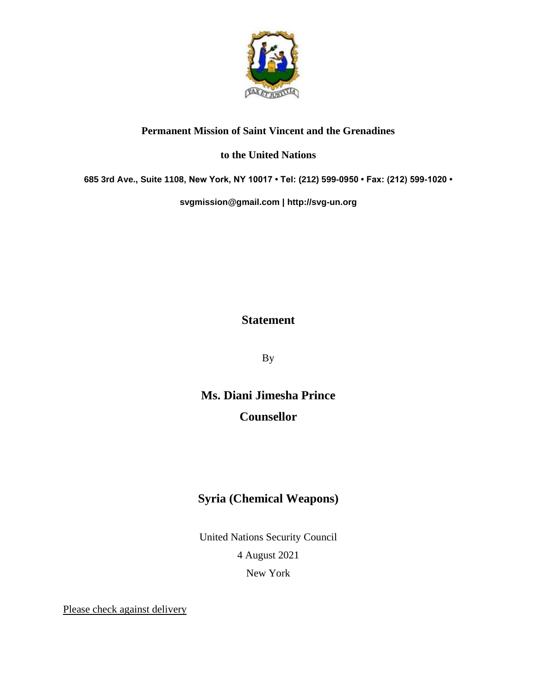

## **Permanent Mission of Saint Vincent and the Grenadines**

## **to the United Nations**

**685 3rd Ave., Suite 1108, New York, NY 10017 • Tel: (212) 599-0950 • Fax: (212) 599-1020 •** 

**[svgmission@gmail.com](mailto:svgmission@gmail.com) | [http://svg-un.org](http://svg-un.org/)**

## **Statement**

By

**Ms. Diani Jimesha Prince Counsellor**

## **Syria (Chemical Weapons)**

United Nations Security Council 4 August 2021

New York

Please check against delivery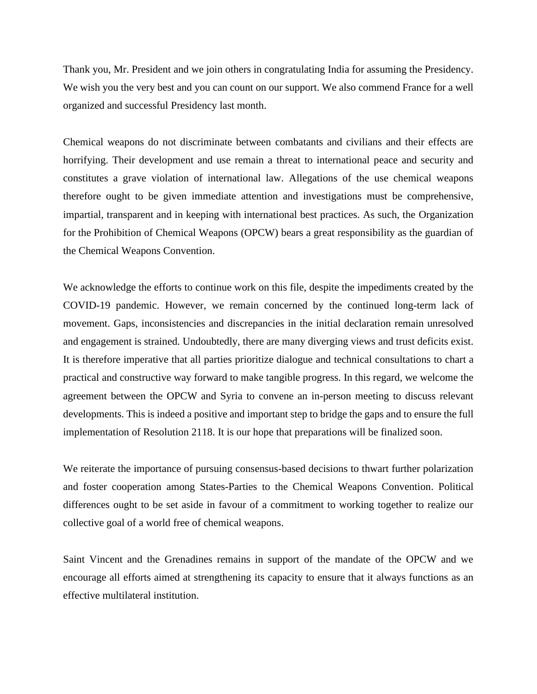Thank you, Mr. President and we join others in congratulating India for assuming the Presidency. We wish you the very best and you can count on our support. We also commend France for a well organized and successful Presidency last month.

Chemical weapons do not discriminate between combatants and civilians and their effects are horrifying. Their development and use remain a threat to international peace and security and constitutes a grave violation of international law. Allegations of the use chemical weapons therefore ought to be given immediate attention and investigations must be comprehensive, impartial, transparent and in keeping with international best practices. As such, the Organization for the Prohibition of Chemical Weapons (OPCW) bears a great responsibility as the guardian of the Chemical Weapons Convention.

We acknowledge the efforts to continue work on this file, despite the impediments created by the COVID-19 pandemic. However, we remain concerned by the continued long-term lack of movement. Gaps, inconsistencies and discrepancies in the initial declaration remain unresolved and engagement is strained. Undoubtedly, there are many diverging views and trust deficits exist. It is therefore imperative that all parties prioritize dialogue and technical consultations to chart a practical and constructive way forward to make tangible progress. In this regard, we welcome the agreement between the OPCW and Syria to convene an in-person meeting to discuss relevant developments. This is indeed a positive and important step to bridge the gaps and to ensure the full implementation of Resolution 2118. It is our hope that preparations will be finalized soon.

We reiterate the importance of pursuing consensus-based decisions to thwart further polarization and foster cooperation among States-Parties to the Chemical Weapons Convention. Political differences ought to be set aside in favour of a commitment to working together to realize our collective goal of a world free of chemical weapons.

Saint Vincent and the Grenadines remains in support of the mandate of the OPCW and we encourage all efforts aimed at strengthening its capacity to ensure that it always functions as an effective multilateral institution.